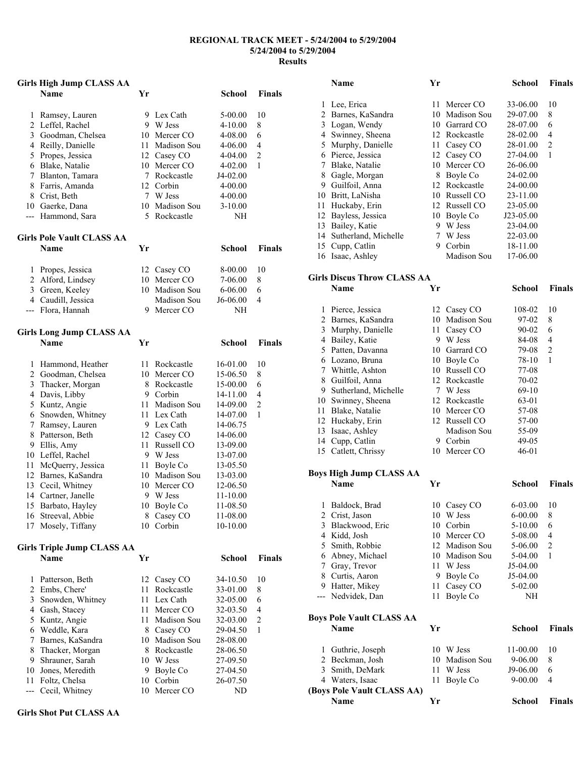#### **REGIONAL TRACK MEET - 5/24/2004 to 5/29/2004 5/24/2004 to 5/29/2004 Results**

|                | <b>Girls High Jump CLASS AA</b>         |    |                                |                    |                |
|----------------|-----------------------------------------|----|--------------------------------|--------------------|----------------|
|                | <b>Name</b>                             | Yr |                                | <b>School</b>      | <b>Finals</b>  |
|                |                                         |    |                                |                    |                |
| 1              | Ramsey, Lauren<br>2 Leffel, Rachel      | 9. | Lex Cath<br>9 W Jess           | 5-00.00<br>4-10.00 | 10<br>8        |
| 3              | Goodman, Chelsea                        |    | 10 Mercer CO                   | 4-08.00            | 6              |
|                | 4 Reilly, Danielle                      |    | 11 Madison Sou                 | 4-06.00            | 4              |
|                | 5 Propes, Jessica                       |    | 12 Casey CO                    | 4-04.00            | $\overline{c}$ |
|                | 6 Blake, Natalie                        |    | 10 Mercer CO                   | 4-02.00            | 1              |
| 7              | Blanton, Tamara                         |    | 7 Rockcastle                   | J4-02.00           |                |
| 8              | Farris, Amanda                          |    | 12 Corbin                      | 4-00.00            |                |
|                | 8 Crist, Beth                           |    | 7 W Jess                       | 4-00.00            |                |
|                | 10 Gaerke, Dana                         |    | 10 Madison Sou                 | $3-10.00$          |                |
| ---            | Hammond, Sara                           | 5  | Rockcastle                     | NΗ                 |                |
|                | <b>Girls Pole Vault CLASS AA</b>        |    |                                |                    |                |
|                | <b>Name</b>                             | Yr |                                | <b>School</b>      | <b>Finals</b>  |
|                |                                         |    |                                |                    |                |
| 1              | Propes, Jessica                         |    | 12 Casey CO                    | 8-00.00            | 10             |
|                | 2 Alford, Lindsey                       |    | 10 Mercer CO<br>10 Madison Sou | 7-06.00            | 8              |
|                | 3 Green, Keeley                         |    |                                | 6-06.00            | 6              |
|                | 4 Caudill, Jessica<br>--- Flora, Hannah | 9  | Madison Sou<br>Mercer CO       | J6-06.00<br>NH     | 4              |
|                |                                         |    |                                |                    |                |
|                | <b>Girls Long Jump CLASS AA</b>         |    |                                |                    |                |
|                | <b>Name</b>                             | Yr |                                | <b>School</b>      | <b>Finals</b>  |
| 1              | Hammond, Heather                        | 11 | Rockcastle                     | 16-01.00           | 10             |
| 2              | Goodman, Chelsea                        |    | 10 Mercer CO                   | 15-06.50           | 8              |
| 3              | Thacker, Morgan                         |    | 8 Rockcastle                   | 15-00.00           | 6              |
| 4              | Davis, Libby                            |    | 9 Corbin                       | 14-11.00           | 4              |
| 5              | Kuntz, Angie                            |    | 11 Madison Sou                 | 14-09.00           | $\overline{c}$ |
| 6              | Snowden, Whitney                        | 11 | Lex Cath                       | 14-07.00           | 1              |
| 7              | Ramsey, Lauren                          |    | 9 Lex Cath                     | 14-06.75           |                |
| 8              | Patterson, Beth                         |    | 12 Casey CO                    | 14-06.00           |                |
| 9              | Ellis, Amy                              |    | 11 Russell CO                  | 13-09.00           |                |
| 10             | Leffel, Rachel                          |    | 9 W Jess                       | 13-07.00           |                |
| 11             | McQuerry, Jessica                       |    | 11 Boyle Co                    | 13-05.50           |                |
| 12             | Barnes, KaSandra                        |    | 10 Madison Sou                 | 13-03.00           |                |
| 13             | Cecil, Whitney                          |    | 10 Mercer CO                   | 12-06.50           |                |
|                | 14 Cartner, Janelle                     | 9  | W Jess                         | 11-10.00           |                |
| 15             | Barbato, Hayley                         |    | 10 Boyle Co                    | 11-08.50           |                |
| 16             | Streeval, Abbie                         |    | 8 Casey CO                     | 11-08.00           |                |
| 17             | Mosely, Tiffany                         | 10 | Corbin                         | 10-10.00           |                |
|                | <b>Girls Triple Jump CLASS AA</b>       |    |                                |                    |                |
|                | <b>Name</b>                             | Yr |                                | School             | <b>Finals</b>  |
| 1              | Patterson, Beth                         | 12 | Casey CO                       | 34-10.50           | 10             |
| $\overline{c}$ | Embs, Chere'                            | 11 | Rockcastle                     | 33-01.00           | 8              |
| 3              | Snowden, Whitney                        | 11 | Lex Cath                       | 32-05.00           | 6              |
| 4              | Gash, Stacey                            | 11 | Mercer CO                      | 32-03.50           | 4              |
| 5              | Kuntz, Angie                            | 11 | Madison Sou                    | 32-03.00           | $\overline{c}$ |
| 6              | Weddle, Kara                            |    | 8 Casey CO                     | 29-04.50           | 1              |
| 7              | Barnes, KaSandra                        | 10 | Madison Sou                    | 28-08.00           |                |
| 8              | Thacker, Morgan                         |    | 8 Rockcastle                   | 28-06.50           |                |
| 9              | Shrauner, Sarah                         |    | 10 W Jess                      | 27-09.50           |                |
| 10             | Jones, Meredith                         | 9. | Boyle Co                       | 27-04.50           |                |
| 11             | Foltz, Chelsa                           | 10 | Corbin                         | 26-07.50           |                |
| ---            | Cecil, Whitney                          | 10 | Mercer CO                      | ND                 |                |

 Lee, Erica 11 Mercer CO 33-06.00 10 Barnes, KaSandra 10 Madison Sou 29-07.00 8 Logan, Wendy 10 Garrard CO 28-07.00 6 Swinney, Sheena 12 Rockcastle 28-02.00 4 Murphy, Danielle 11 Casey CO 28-01.00 2 Pierce, Jessica 12 Casey CO 27-04.00 1 Blake, Natalie 10 Mercer CO 26-06.00 8 Gagle, Morgan 8 Boyle Co 24-02.00 Guilfoil, Anna 12 Rockcastle 24-00.00 Britt, LaNisha 10 Russell CO 23-11.00 Huckaby, Erin 12 Russell CO 23-05.00 Bayless, Jessica 10 Boyle Co J23-05.00 Bailey, Katie 9 W Jess 23-04.00 Sutherland, Michelle 7 W Jess 22-03.00 Cupp, Catlin 9 Corbin 18-11.00 Isaac, Ashley Madison Sou 17-06.00 **Girls Discus Throw CLASS AA Name Yr School Finals**  Pierce, Jessica 12 Casey CO 108-02 10 Barnes, KaSandra 10 Madison Sou 97-02 8 Murphy, Danielle 11 Casey CO 90-02 6 Bailey, Katie 9 W Jess 84-08 4 Patten, Davanna 10 Garrard CO 79-08 2 Lozano, Bruna 10 Boyle Co 78-10 1 Whittle, Ashton 10 Russell CO 77-08 Guilfoil, Anna 12 Rockcastle 70-02 9 Sutherland, Michelle 7 W Jess 69-10 Swinney, Sheena 12 Rockcastle 63-01 Blake, Natalie 10 Mercer CO 57-08 12 Huckaby, Erin 12 Russell CO 57-00 Isaac, Ashley Madison Sou 55-09 14 Cupp, Catlin 9 Corbin 49-05 15 Catlett, Chrissy 10 Mercer CO 46-01 **Boys High Jump CLASS AA Name Yr School Finals**  Baldock, Brad 10 Casey CO 6-03.00 10 Crist, Jason 10 W Jess 6-00.00 8 Blackwood, Eric 10 Corbin 5-10.00 6 Kidd, Josh 10 Mercer CO 5-08.00 4 Smith, Robbie 12 Madison Sou 5-06.00 2 Abney, Michael 10 Madison Sou 5-04.00 1 Gray, Trevor 11 W Jess J5-04.00 8 Curtis, Aaron 9 Boyle Co J5-04.00 Hatter, Mikey 11 Casey CO 5-02.00 --- Nedvidek, Dan 11 Boyle Co NH **Boys Pole Vault CLASS AA Name Yr School Finals**  Guthrie, Joseph 10 W Jess 11-00.00 10 Beckman, Josh 10 Madison Sou 9-06.00 8 Smith, DeMark 11 W Jess J9-06.00 6 Waters, Isaac 11 Boyle Co 9-00.00 4 **(Boys Pole Vault CLASS AA) Name Yr School Finals** 

**Name Yr School Finals**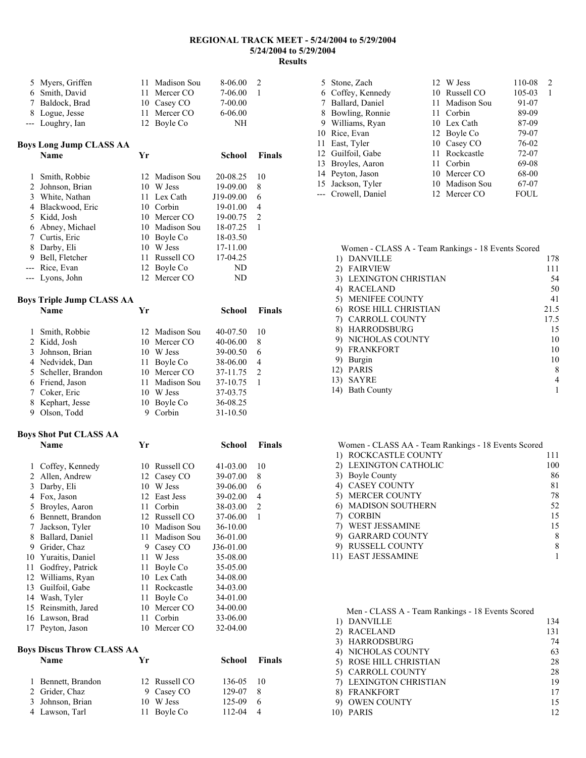### **REGIONAL TRACK MEET - 5/24/2004 to 5/29/2004 5/24/2004 to 5/29/2004 Results**

| 5.    | Myers, Griffen          | 11 | Madison Sou    | 8-06.00     | $\overline{2}$ |
|-------|-------------------------|----|----------------|-------------|----------------|
| 6     | Smith, David            | 11 | Mercer CO      | 7-06.00     | 1              |
| 7     | Baldock, Brad           | 10 | Casey CO       | 7-00.00     |                |
| 8     | Logue, Jesse            | 11 | Mercer CO      | $6 - 06.00$ |                |
| $---$ | Loughry, Ian            | 12 | Boyle Co       | NΗ          |                |
|       | Boys Long Jump CLASS AA |    |                |             |                |
|       | Name                    | Yr |                | School      | <b>Finals</b>  |
| 1     | Smith, Robbie           |    | 12 Madison Sou | 20-08.25    | 10             |
| 2     | Johnson, Brian          | 10 | W Jess         | 19-09.00    | 8              |
| 3     | White, Nathan           | 11 | Lex Cath       | J19-09.00   | 6              |
| 4     | Blackwood, Eric         | 10 | Corbin         | 19-01.00    | $\overline{4}$ |
| 5     | Kidd, Josh              | 10 | Mercer CO      | 19-00.75    | 2              |
| 6     | Abney, Michael          | 10 | Madison Sou    | 18-07.25    | $\mathbf{1}$   |
| 7     | Curtis, Eric            | 10 | Boyle Co       | 18-03.50    |                |
| 8     | Darby, Eli              | 10 | W Jess         | 17-11.00    |                |
|       |                         |    |                |             |                |

| 5 Kidd, Josh     | 10 Mercer CO   | 19-00.75 | $\mathcal{L}$ |
|------------------|----------------|----------|---------------|
| 6 Abney, Michael | 10 Madison Sou | 18-07.25 |               |
| 7 Curtis, Eric   | 10 Boyle Co    | 18-03.50 |               |
| 8 Darby, Eli     | 10 W Jess      | 17-11.00 |               |
| 9 Bell, Fletcher | 11 Russell CO  | 17-04.25 |               |
| --- Rice, Evan   | 12 Boyle Co    | ND       |               |
| --- Lyons, John  | 12 Mercer CO   | ND       |               |
|                  |                |          |               |

## **Boys Triple Jump CLASS AA Name Yr School Finals**  1 Smith, Robbie 12 Madison Sou 40-07.50 10<br>2 Kidd, Josh 10 Mercer CO 40-06.00 8 10 Mercer CO 40-06.00 8 3 Johnson, Brian 10 W Jess 39-00.50 6 4 Nedvidek, Dan 11 Boyle Co 38-06.00 4 5 Scheller, Brandon 10 Mercer CO 37-11.75 2 6 Friend, Jason 11 Madison Sou 37-10.75 1 7 Coker, Eric 10 W Jess 8 Kephart, Jesse 10 Boyle Co 36-08.25 9 Olson, Todd 9 Corbin 31-10.50

# **Boys Shot Put CLASS AA**

|    | $\sigma$ , shot i at $\sigma$ . The space of $\sigma$ |    |             |           |                |
|----|-------------------------------------------------------|----|-------------|-----------|----------------|
|    | Name                                                  | Yr |             | School    | <b>Finals</b>  |
| 1  | Coffey, Kennedy                                       | 10 | Russell CO  | 41-03.00  | 10             |
| 2  | Allen, Andrew                                         |    | 12 Casey CO | 39-07.00  | 8              |
| 3  | Darby, Eli                                            | 10 | W Jess      | 39-06.00  | 6              |
| 4  | Fox, Jason                                            | 12 | East Jess   | 39-02.00  | $\overline{4}$ |
| 5  | Broyles, Aaron                                        | 11 | Corbin      | 38-03.00  | $\overline{2}$ |
| 6  | Bennett, Brandon                                      | 12 | Russell CO  | 37-06.00  | 1              |
| 7  | Jackson, Tyler                                        | 10 | Madison Sou | 36-10.00  |                |
| 8  | Ballard, Daniel                                       | 11 | Madison Sou | 36-01.00  |                |
| 9  | Grider, Chaz                                          | 9  | Casey CO    | J36-01.00 |                |
| 10 | Yuraitis, Daniel                                      | 11 | W Jess      | 35-08.00  |                |
| 11 | Godfrey, Patrick                                      | 11 | Boyle Co    | 35-05.00  |                |
| 12 | Williams, Ryan                                        | 10 | Lex Cath    | 34-08.00  |                |
| 13 | Guilfoil, Gabe                                        | 11 | Rockcastle  | 34-03.00  |                |
| 14 | Wash, Tyler                                           | 11 | Boyle Co    | 34-01.00  |                |
| 15 | Reinsmith, Jared                                      | 10 | Mercer CO   | 34-00.00  |                |
| 16 | Lawson, Brad                                          | 11 | Corbin      | 33-06.00  |                |
| 17 | Peyton, Jason                                         | 10 | Mercer CO   | 32-04.00  |                |
|    |                                                       |    |             |           |                |

## **Boys Discus Throw CLASS AA**

| <b>Name</b>        | Vr |               | School | <b>Finals</b> |
|--------------------|----|---------------|--------|---------------|
| 1 Bennett, Brandon |    | 12 Russell CO | 136-05 | -10           |
| 2 Grider, Chaz     |    | 9 Casey CO    | 129-07 | 8             |
| 3 Johnson, Brian   |    | 10 W Jess     | 125-09 | 6             |
| 4 Lawson, Tarl     |    | 11 Boyle Co   | 112-04 |               |

| 5 Stone, Zach       | 12 W Jess      | 110-08 | $\mathfrak{D}_{\mathfrak{p}}$ |
|---------------------|----------------|--------|-------------------------------|
| 6 Coffey, Kennedy   | 10 Russell CO  | 105-03 |                               |
| Ballard, Daniel     | 11 Madison Sou | 91-07  |                               |
| 8 Bowling, Ronnie   | 11 Corbin      | 89-09  |                               |
| 9 Williams, Ryan    | 10 Lex Cath    | 87-09  |                               |
| 10 Rice, Evan       | 12 Boyle Co    | 79-07  |                               |
| 11 East, Tyler      | 10 Casey CO    | 76-02  |                               |
| 12 Guilfoil, Gabe   | 11 Rockcastle  | 72-07  |                               |
| 13 Broyles, Aaron   | 11 Corbin      | 69-08  |                               |
| 14 Peyton, Jason    | 10 Mercer CO   | 68-00  |                               |
| 15 Jackson, Tyler   | 10 Madison Sou | 67-07  |                               |
| --- Crowell, Daniel | 12 Mercer CO   | FOUL   |                               |

|     | Women - CLASS A - Team Rankings - 18 Events Scored |      |
|-----|----------------------------------------------------|------|
|     | <b>DANVILLE</b>                                    | 178  |
| 2)  | <b>FAIRVIEW</b>                                    | 111  |
| 3)  | <b>LEXINGTON CHRISTIAN</b>                         | 54   |
| 4)  | <b>RACELAND</b>                                    | 50   |
| 5)  | <b>MENIFEE COUNTY</b>                              | 41   |
| 6)  | ROSE HILL CHRISTIAN                                | 21.5 |
|     | <b>CARROLL COUNTY</b>                              | 17.5 |
| 8)  | <b>HARRODSBURG</b>                                 | 15   |
| 9)  | NICHOLAS COUNTY                                    | 10   |
| 9)  | <b>FRANKFORT</b>                                   | 10   |
| 9)  | Burgin                                             | 10   |
| 12) | <b>PARIS</b>                                       | 8    |
| 13) | SAYRE                                              |      |
| 14) | <b>Bath County</b>                                 |      |

| Women - CLASS AA - Team Rankings - 18 Events Scored |     |
|-----------------------------------------------------|-----|
| 1) ROCKCASTLE COUNTY                                | 111 |
| 2) LEXINGTON CATHOLIC                               | 100 |
| 3) Boyle County                                     | 86  |
| 4) CASEY COUNTY                                     | 81  |
| 5) MERCER COUNTY                                    | 78  |
| 6) MADISON SOUTHERN                                 | 52  |
| <b>CORBIN</b>                                       | 15  |
| 7) WEST JESSAMINE                                   | 15  |
| <b>GARRARD COUNTY</b>                               | 8   |
| <b>RUSSELL COUNTY</b>                               | 8   |
| EAST JESSAMINE                                      |     |

|     | Men - CLASS A - Team Rankings - 18 Events Scored |     |
|-----|--------------------------------------------------|-----|
|     | 1) DANVILLE                                      | 134 |
|     | 2) RACELAND                                      | 131 |
|     | 3) HARRODSBURG                                   | 74  |
|     | 4) NICHOLAS COUNTY                               | 63  |
|     | 5) ROSE HILL CHRISTIAN                           | 28  |
|     | 5) CARROLL COUNTY                                | 28  |
|     | 7) LEXINGTON CHRISTIAN                           | 19  |
|     | 8) FRANKFORT                                     | 17  |
|     | 9) OWEN COUNTY                                   | 15  |
| 10) | PARIS                                            |     |